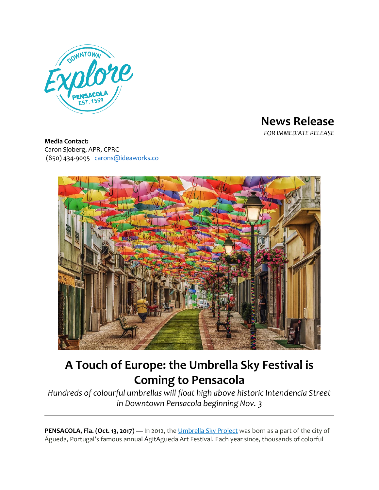

**News Release** *FOR IMMEDIATE RELEASE*

**Media Contact:** Caron Sjoberg, APR, CPRC (850) 434-9095 [carons@ideaworks.co](mailto:carons@ideaworks.co)



## **A Touch of Europe: the Umbrella Sky Festival is Coming to Pensacola**

*Hundreds of colourful umbrellas will float high above historic Intendencia Street in Downtown Pensacola beginning Nov. 3*

**PENSACOLA, Fla. (Oct. 13, 2017) — In 2012, the [Umbrella](https://www.facebook.com/UmbrellaSkyProject) Sky Project was born as a part of the city of** Águeda, Portugal's famous annual ÁgitAgueda Art Festival. Each year since, thousands of colorful